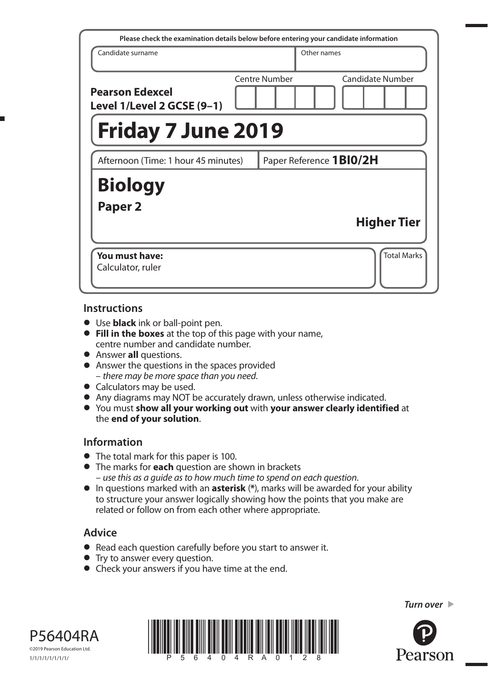| Please check the examination details below before entering your candidate information |                      |                         |                         |
|---------------------------------------------------------------------------------------|----------------------|-------------------------|-------------------------|
| Candidate surname                                                                     |                      | Other names             |                         |
| <b>Pearson Edexcel</b><br>Level 1/Level 2 GCSE (9-1)                                  | <b>Centre Number</b> |                         | <b>Candidate Number</b> |
| <b>Friday 7 June 2019</b>                                                             |                      |                         |                         |
| Afternoon (Time: 1 hour 45 minutes)                                                   |                      | Paper Reference 1B10/2H |                         |
| <b>Biology</b><br><b>Paper 2</b>                                                      |                      |                         |                         |
|                                                                                       |                      |                         | <b>Higher Tier</b>      |
| You must have:<br>Calculator, ruler                                                   |                      |                         | <b>Total Marks</b>      |

### **Instructions**

- Use **black** ink or ball-point pen.
- **Fill in the boxes** at the top of this page with your name, centre number and candidate number.
- Answer **all** questions.
- Answer the questions in the spaces provided – there may be more space than you need.
- Calculators may be used.
- Any diagrams may NOT be accurately drawn, unless otherwise indicated.
- You must **show all your working out** with **your answer clearly identified** at the **end of your solution**.

## **Information**

- The total mark for this paper is 100.
- The marks for **each** question are shown in brackets – use this as a guide as to how much time to spend on each question.
- In questions marked with an **asterisk** (**\***), marks will be awarded for your ability to structure your answer logically showing how the points that you make are related or follow on from each other where appropriate.

# **Advice**

- Read each question carefully before you start to answer it.
- Try to answer every question.
- Check your answers if you have time at the end.





*Turn over* 

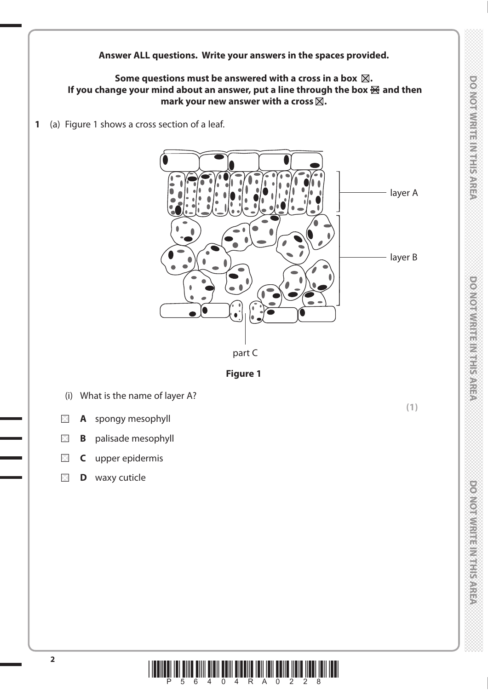

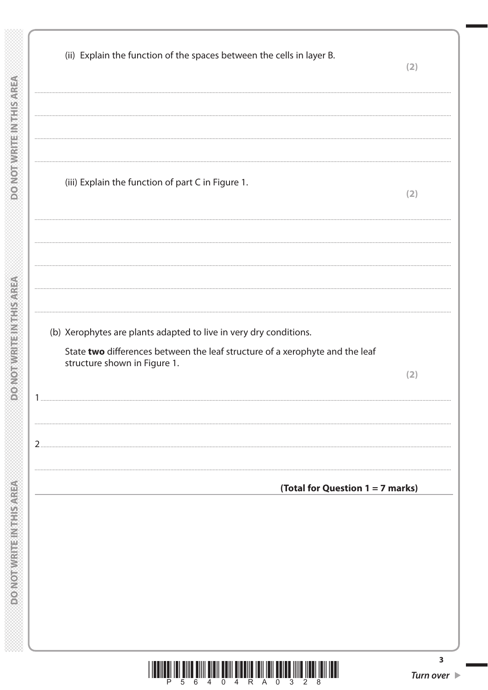|   |                                                                                                                                                                                   | (2) |
|---|-----------------------------------------------------------------------------------------------------------------------------------------------------------------------------------|-----|
|   | (iii) Explain the function of part C in Figure 1.                                                                                                                                 | (2) |
|   |                                                                                                                                                                                   |     |
|   | (b) Xerophytes are plants adapted to live in very dry conditions.<br>State two differences between the leaf structure of a xerophyte and the leaf<br>structure shown in Figure 1. | (2) |
| 2 |                                                                                                                                                                                   |     |
|   | (Total for Question 1 = 7 marks)                                                                                                                                                  |     |
|   |                                                                                                                                                                                   |     |
|   |                                                                                                                                                                                   |     |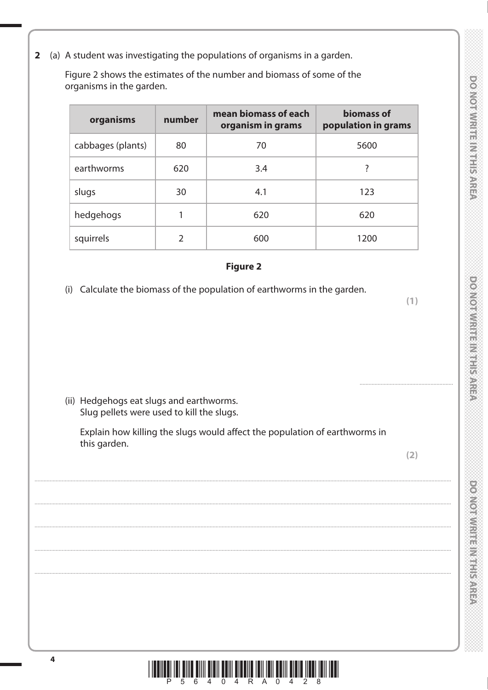(a) A student was investigating the populations of organisms in a garden.  $2^{\circ}$ 

Figure 2 shows the estimates of the number and biomass of some of the organisms in the garden.

| organisms         | number        | mean biomass of each<br>organism in grams | biomass of<br>population in grams |
|-------------------|---------------|-------------------------------------------|-----------------------------------|
| cabbages (plants) | 80            | 70                                        | 5600                              |
| earthworms        | 620           | 3.4                                       |                                   |
| slugs             | 30            | 4.1                                       | 123                               |
| hedgehogs         |               | 620                                       | 620                               |
| squirrels         | $\mathcal{P}$ | 600                                       | 1200                              |

### **Figure 2**

(i) Calculate the biomass of the population of earthworms in the garden.

DO NOT WRITE IN THIS AREA

(ii) Hedgehogs eat slugs and earthworms. Slug pellets were used to kill the slugs.

Explain how killing the slugs would affect the population of earthworms in this garden.

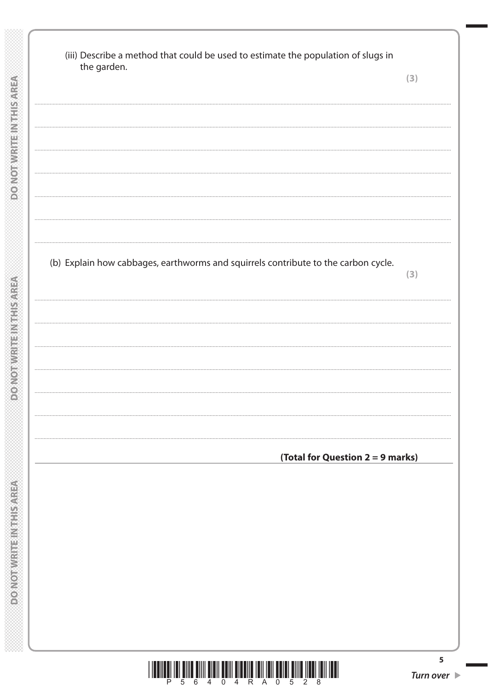| (iii) Describe a method that could be used to estimate the population of slugs in<br>the garden. |     |
|--------------------------------------------------------------------------------------------------|-----|
|                                                                                                  | (3) |
|                                                                                                  |     |
|                                                                                                  |     |
|                                                                                                  |     |
|                                                                                                  |     |
|                                                                                                  |     |
|                                                                                                  |     |
|                                                                                                  |     |
|                                                                                                  |     |
| (b) Explain how cabbages, earthworms and squirrels contribute to the carbon cycle.               |     |
|                                                                                                  | (3) |
|                                                                                                  |     |
|                                                                                                  |     |
|                                                                                                  |     |
|                                                                                                  |     |
|                                                                                                  |     |
|                                                                                                  |     |
|                                                                                                  |     |
|                                                                                                  |     |
| (Total for Question 2 = 9 marks)                                                                 |     |
|                                                                                                  |     |
|                                                                                                  |     |
|                                                                                                  |     |
|                                                                                                  |     |
|                                                                                                  |     |
|                                                                                                  |     |
|                                                                                                  |     |
|                                                                                                  |     |
|                                                                                                  |     |
|                                                                                                  |     |

**SERIES** 

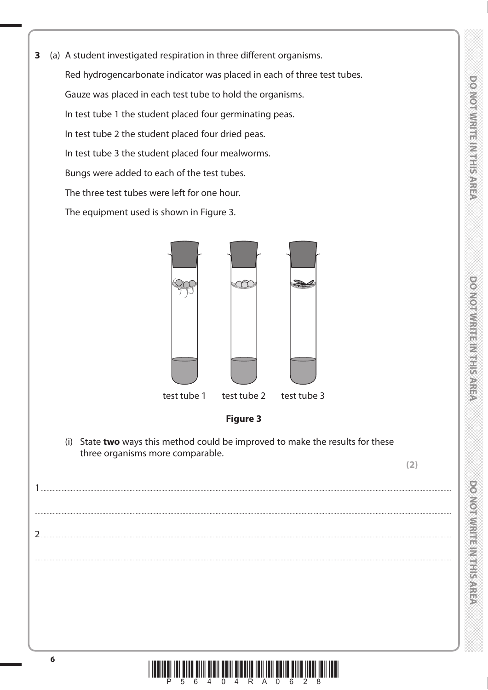**DO NOT WRITE IN THE IN THIS AREA DO NOT WRITE IN THIS AREA DO NOT WRITE IN THIS AREA DO NOT WRITE IN THIS AREA DO NOT WRITE IN THE INTERNATIONAL CONTINUES. THE INTERNATIONAL CONTINUES. DOOMORAL HEADERS ARE** 



**3** (a) A student investigated respiration in three different organisms.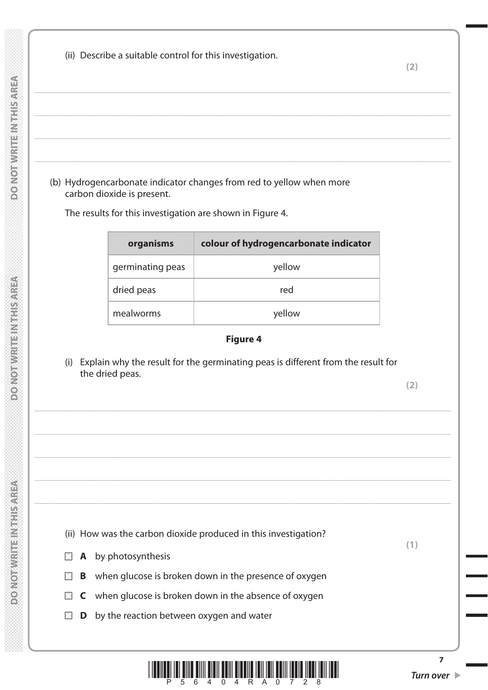|     |                            |           | (ii) Describe a suitable control for this investigation.                                         | (2) |
|-----|----------------------------|-----------|--------------------------------------------------------------------------------------------------|-----|
|     |                            |           |                                                                                                  |     |
|     | carbon dioxide is present. |           | (b) Hydrogencarbonate indicator changes from red to yellow when more                             |     |
|     |                            |           | The results for this investigation are shown in Figure 4.                                        |     |
|     |                            | organisms | colour of hydrogencarbonate indicator                                                            |     |
|     | germinating peas           |           | yellow                                                                                           |     |
|     | dried peas                 |           | red                                                                                              |     |
|     |                            |           |                                                                                                  |     |
|     | mealworms                  |           | yellow<br><b>Figure 4</b>                                                                        |     |
| (i) | the dried peas.            |           | Explain why the result for the germinating peas is different from the result for                 | (2) |
|     |                            |           |                                                                                                  |     |
|     |                            |           | (ii) How was the carbon dioxide produced in this investigation?                                  | (1) |
|     | A by photosynthesis        |           |                                                                                                  |     |
|     | B                          |           | when glucose is broken down in the presence of oxygen                                            |     |
|     | $\mathsf{C}$<br>D          |           | when glucose is broken down in the absence of oxygen<br>by the reaction between oxygen and water |     |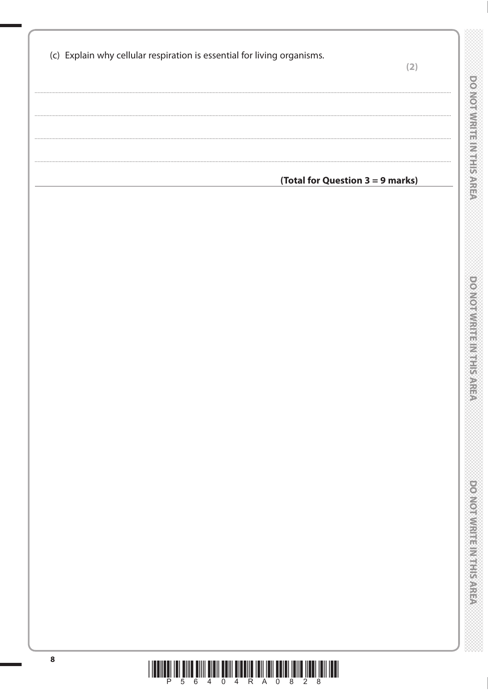|   | (c) Explain why cellular respiration is essential for living organisms. | (2) |
|---|-------------------------------------------------------------------------|-----|
|   |                                                                         |     |
|   |                                                                         |     |
|   |                                                                         |     |
|   |                                                                         |     |
|   | (Total for Question 3 = 9 marks)                                        |     |
|   |                                                                         |     |
|   |                                                                         |     |
|   |                                                                         |     |
|   |                                                                         |     |
|   |                                                                         |     |
|   |                                                                         |     |
|   |                                                                         |     |
|   |                                                                         |     |
|   |                                                                         |     |
|   |                                                                         |     |
|   |                                                                         |     |
|   |                                                                         |     |
|   |                                                                         |     |
|   |                                                                         |     |
|   |                                                                         |     |
|   |                                                                         |     |
|   |                                                                         |     |
|   |                                                                         |     |
|   |                                                                         |     |
|   |                                                                         |     |
|   |                                                                         |     |
|   |                                                                         |     |
|   |                                                                         |     |
| 8 |                                                                         |     |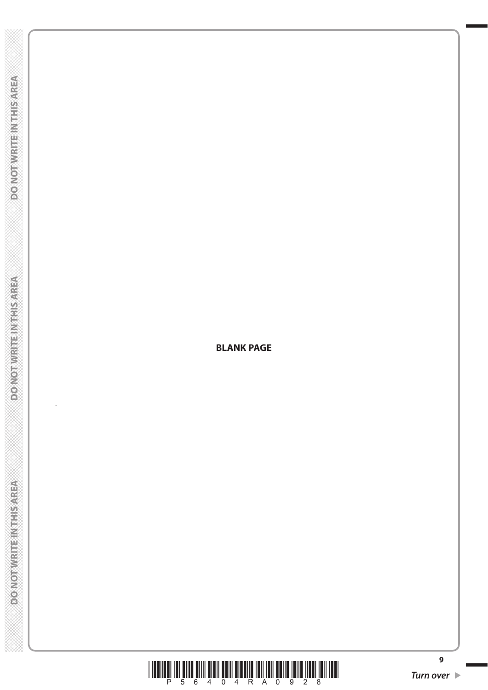

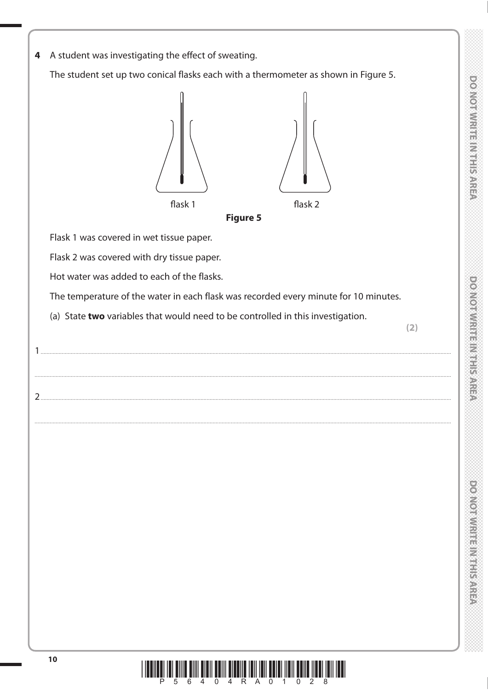**DONOTWRITEIN FILEMEN** 

4 A student was investigating the effect of sweating.

flask 1



flask<sub>2</sub>

Flask 1 was covered in wet tissue paper.

Flask 2 was covered with dry tissue paper.

Hot water was added to each of the flasks.

The temperature of the water in each flask was recorded every minute for 10 minutes.

The student set up two conical flasks each with a thermometer as shown in Figure 5.

(a) State two variables that would need to be controlled in this investigation.

 $(2)$ 

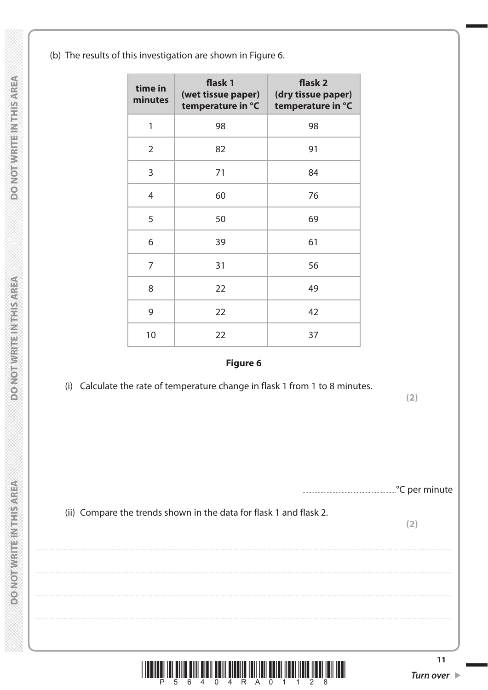(b) The results of this investigation are shown in Figure 6.

| time in<br>minutes | flask 1<br>(wet tissue paper)<br>temperature in °C | flask <sub>2</sub><br>(dry tissue paper)<br>temperature in °C |  |  |
|--------------------|----------------------------------------------------|---------------------------------------------------------------|--|--|
| 1                  | 98                                                 | 98                                                            |  |  |
| $\overline{2}$     | 82                                                 | 91                                                            |  |  |
| 3                  | 71<br>84                                           |                                                               |  |  |
| $\overline{4}$     | 60                                                 | 76                                                            |  |  |
| 5                  | 50                                                 | 69                                                            |  |  |
| 6                  | 39                                                 | 61                                                            |  |  |
| 7                  | 31                                                 | 56                                                            |  |  |
| 8                  | 22                                                 | 49                                                            |  |  |
| 9                  | 22                                                 | 42                                                            |  |  |
| 10                 | 22                                                 | 37                                                            |  |  |



(i) Calculate the rate of temperature change in flask 1 from 1 to 8 minutes.  $(2)$ °C per minute (ii) Compare the trends shown in the data for flask 1 and flask 2.  $(2)$ 



 $11$ 

**DONOTWRTEINTHIS AREA**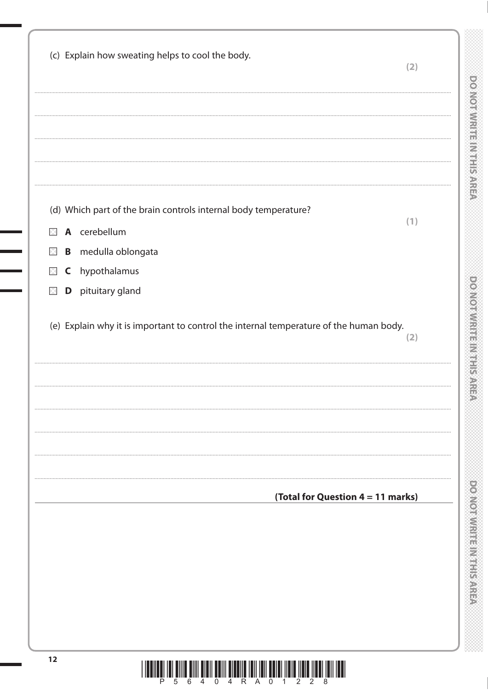| (c) Explain how sweating helps to cool the body.                                                                                | (2) |
|---------------------------------------------------------------------------------------------------------------------------------|-----|
|                                                                                                                                 |     |
|                                                                                                                                 |     |
| (d) Which part of the brain controls internal body temperature?                                                                 | (1) |
| A cerebellum<br>$\times$                                                                                                        |     |
| <b>B</b> medulla oblongata                                                                                                      |     |
| C hypothalamus<br>$\times$                                                                                                      |     |
| <b>D</b> pituitary gland                                                                                                        |     |
| (e) Explain why it is important to control the internal temperature of the human body.                                          | (2) |
|                                                                                                                                 |     |
| (Total for Question 4 = 11 marks)                                                                                               |     |
|                                                                                                                                 |     |
| 12<br><u>HENEL HENEL WEIGHT AN DER STATISTIKE HENEL HEN DE STATISTIKE DER STATISTIKE DER STATISTIKE DER STATISTIKE DER</u><br>5 |     |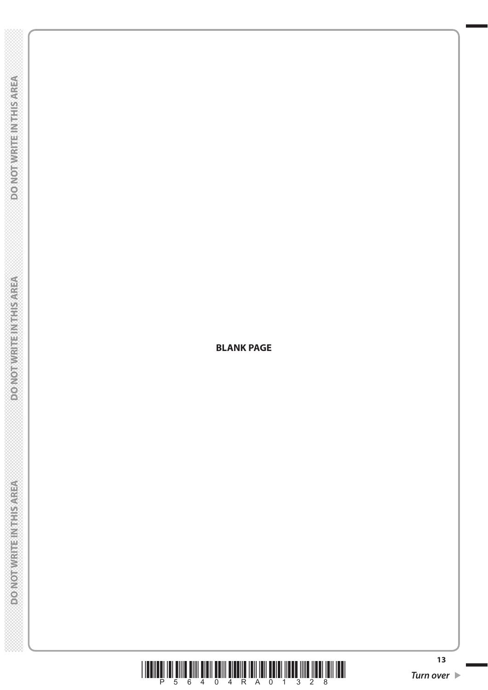**BLANK PAGE**

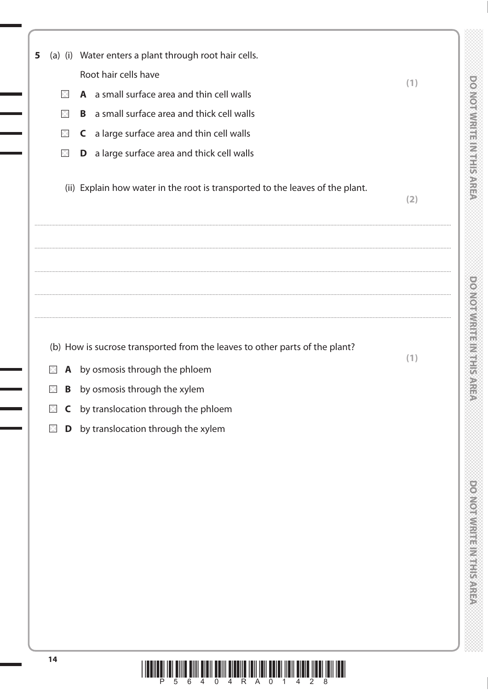| 5 |                                                   |              | (a) (i) Water enters a plant through root hair cells.                                                                                                                                                                       |     |                                           |
|---|---------------------------------------------------|--------------|-----------------------------------------------------------------------------------------------------------------------------------------------------------------------------------------------------------------------------|-----|-------------------------------------------|
|   |                                                   |              | Root hair cells have                                                                                                                                                                                                        |     |                                           |
|   | $\mathbb{X}$                                      |              | A a small surface area and thin cell walls                                                                                                                                                                                  | (1) |                                           |
|   | $\times$                                          | B            | a small surface area and thick cell walls                                                                                                                                                                                   |     |                                           |
|   | $\boxtimes$                                       | $\mathsf{C}$ | a large surface area and thin cell walls                                                                                                                                                                                    |     |                                           |
|   | $\boxtimes$                                       | D            | a large surface area and thick cell walls                                                                                                                                                                                   |     |                                           |
|   |                                                   |              | (ii) Explain how water in the root is transported to the leaves of the plant.                                                                                                                                               | (2) | <b>DONOTWREE NEEDS AREA</b>               |
|   | B<br>$\boxtimes$<br>$\mathsf{C}$<br>D<br>$\times$ |              | (b) How is sucrose transported from the leaves to other parts of the plant?<br>A by osmosis through the phloem<br>by osmosis through the xylem<br>by translocation through the phloem<br>by translocation through the xylem | (1) | <b>DOMORROWS IS NOT THE REAL PROPERTY</b> |
|   |                                                   |              |                                                                                                                                                                                                                             |     | <b>DONOTWRITEIN SHIPAREA</b>              |

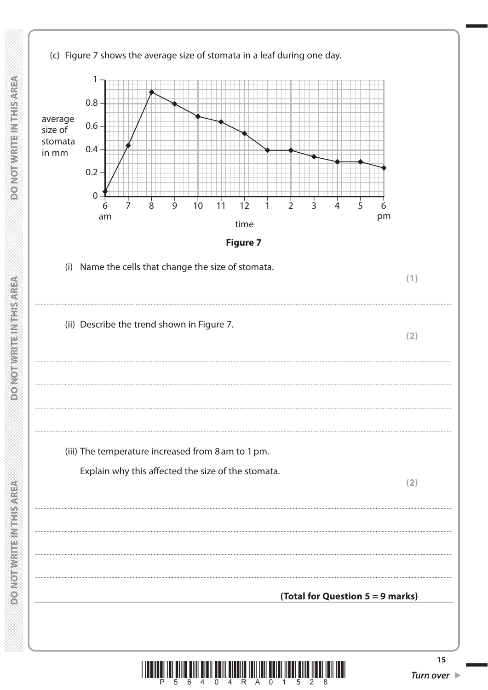

 $0$  4 R A 0

5  $\overline{1}$ 

5

6 4

**PONOTAVRITE INTHISIAREA** 

**DO NOT WRITE INTHIS AREA** 

**MERIVAL PRIVATE MARKED AS**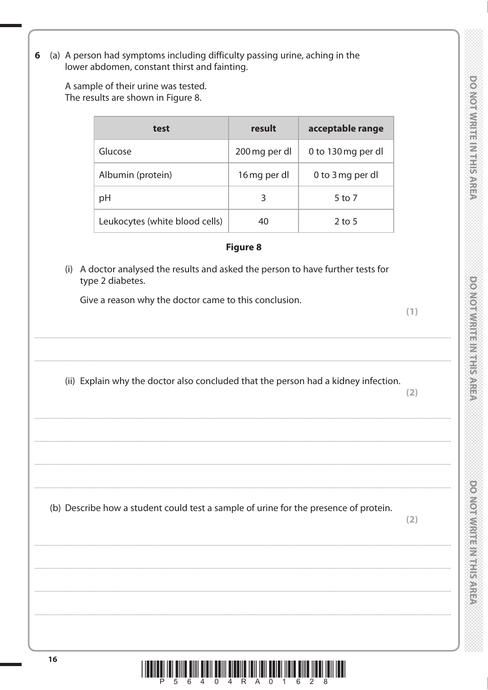(a) A person had symptoms including difficulty passing urine, aching in the 6 lower abdomen, constant thirst and fainting.

A sample of their urine was tested. The results are shown in Figure 8.

| test                           | result        | acceptable range   |
|--------------------------------|---------------|--------------------|
| Glucose                        | 200 mg per dl | 0 to 130 mg per dl |
| Albumin (protein)              | 16 mg per dl  | 0 to 3 mg per dl   |
| pH                             |               | 5 to 7             |
| Leukocytes (white blood cells) | 40            | 2 to 5             |

### **Figure 8**

(i) A doctor analysed the results and asked the person to have further tests for type 2 diabetes.

Give a reason why the doctor came to this conclusion.

(ii) Explain why the doctor also concluded that the person had a kidney infection.

 $(2)$ 

(b) Describe how a student could test a sample of urine for the presence of protein.

 $(2)$ 

**DOOMORATION STATES AND STATES** 

**DOOMORATION CONSULTANT**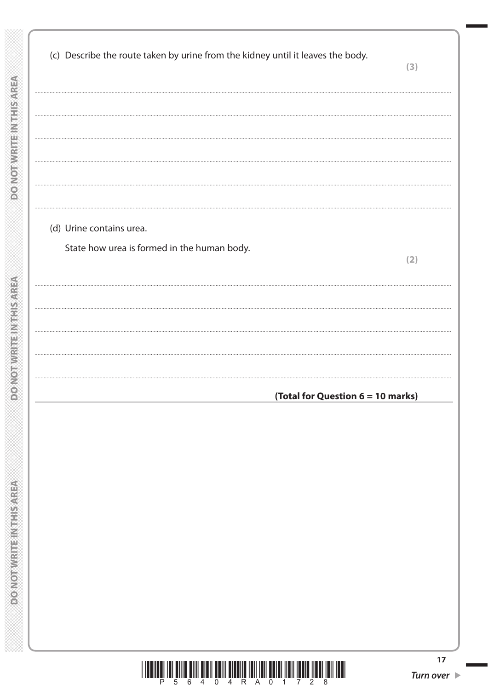**DONOTWRITE IN THIS AREA** 

**DONOT WRITEIN THIS AREA** 

# (c) Describe the route taken by urine from the kidney until it leaves the body.  $(3)$ (d) Urine contains urea. State how urea is formed in the human body.  $(2)$ (Total for Question 6 = 10 marks)

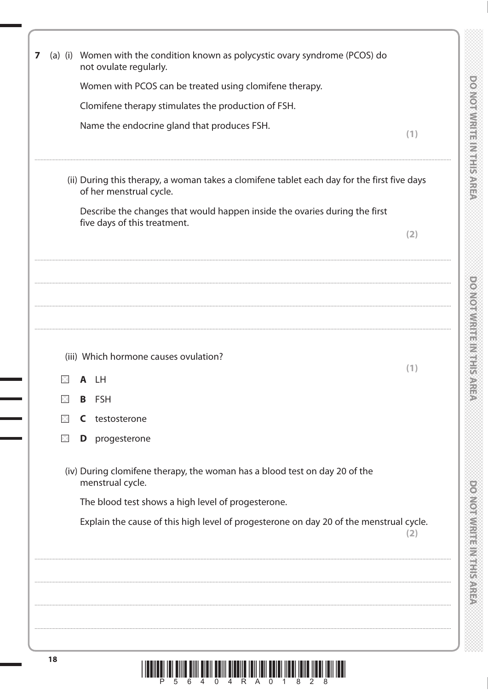|  |             | $\frac{1}{2}$ |   |  |
|--|-------------|---------------|---|--|
|  |             |               |   |  |
|  |             |               |   |  |
|  |             |               |   |  |
|  |             |               |   |  |
|  |             |               |   |  |
|  | Ê           |               | u |  |
|  |             |               |   |  |
|  |             |               |   |  |
|  |             |               |   |  |
|  |             |               |   |  |
|  |             |               |   |  |
|  |             |               |   |  |
|  |             |               |   |  |
|  |             |               |   |  |
|  | Ç           | g             |   |  |
|  |             |               |   |  |
|  |             |               |   |  |
|  |             |               |   |  |
|  |             |               |   |  |
|  |             |               |   |  |
|  |             |               |   |  |
|  |             |               |   |  |
|  |             |               |   |  |
|  |             |               |   |  |
|  |             |               |   |  |
|  |             |               |   |  |
|  |             |               |   |  |
|  |             |               |   |  |
|  |             |               |   |  |
|  |             |               |   |  |
|  |             |               |   |  |
|  |             |               |   |  |
|  |             |               |   |  |
|  |             |               |   |  |
|  |             |               |   |  |
|  |             |               |   |  |
|  |             |               |   |  |
|  |             |               |   |  |
|  |             |               |   |  |
|  |             |               |   |  |
|  |             | ò.            |   |  |
|  |             |               |   |  |
|  |             |               |   |  |
|  |             |               |   |  |
|  |             |               |   |  |
|  |             |               |   |  |
|  |             | Z             |   |  |
|  |             |               |   |  |
|  |             |               |   |  |
|  |             |               |   |  |
|  |             |               |   |  |
|  |             |               |   |  |
|  |             | ₩             |   |  |
|  |             |               |   |  |
|  |             |               |   |  |
|  |             |               | É |  |
|  |             |               |   |  |
|  | i<br>Distri |               |   |  |
|  |             |               |   |  |
|  |             |               |   |  |
|  |             |               | ģ |  |
|  |             |               |   |  |
|  |             |               |   |  |
|  |             |               |   |  |
|  |             |               |   |  |
|  |             | 医皮肤           |   |  |
|  |             |               |   |  |
|  |             |               |   |  |
|  |             |               |   |  |
|  |             |               |   |  |
|  |             |               |   |  |
|  |             |               |   |  |
|  |             |               |   |  |
|  |             |               |   |  |
|  |             |               |   |  |
|  |             |               |   |  |
|  |             |               |   |  |
|  |             |               |   |  |
|  |             |               |   |  |
|  |             |               |   |  |
|  |             | D             |   |  |
|  |             |               |   |  |
|  |             |               |   |  |

| 7 |  |  |                                                                                                                        | (a) (i) Women with the condition known as polycystic ovary syndrome (PCOS) do<br>not ovulate regularly. |  |  |  |  |  |
|---|--|--|------------------------------------------------------------------------------------------------------------------------|---------------------------------------------------------------------------------------------------------|--|--|--|--|--|
|   |  |  | Women with PCOS can be treated using clomifene therapy.                                                                |                                                                                                         |  |  |  |  |  |
|   |  |  | Clomifene therapy stimulates the production of FSH.                                                                    |                                                                                                         |  |  |  |  |  |
|   |  |  | Name the endocrine gland that produces FSH.                                                                            | (1)                                                                                                     |  |  |  |  |  |
|   |  |  | (ii) During this therapy, a woman takes a clomifene tablet each day for the first five days<br>of her menstrual cycle. |                                                                                                         |  |  |  |  |  |
|   |  |  | Describe the changes that would happen inside the ovaries during the first<br>five days of this treatment.             | (2)                                                                                                     |  |  |  |  |  |
|   |  |  | (iii) Which hormone causes ovulation?                                                                                  | (1)                                                                                                     |  |  |  |  |  |
|   |  |  | - LH<br>A                                                                                                              |                                                                                                         |  |  |  |  |  |
|   |  |  | <b>FSH</b><br>В                                                                                                        |                                                                                                         |  |  |  |  |  |
|   |  |  | testosterone<br>C                                                                                                      |                                                                                                         |  |  |  |  |  |
|   |  |  | progesterone<br>D                                                                                                      |                                                                                                         |  |  |  |  |  |
|   |  |  | (iv) During clomifene therapy, the woman has a blood test on day 20 of the<br>menstrual cycle.                         |                                                                                                         |  |  |  |  |  |
|   |  |  | The blood test shows a high level of progesterone.                                                                     |                                                                                                         |  |  |  |  |  |
|   |  |  | Explain the cause of this high level of progesterone on day 20 of the menstrual cycle.                                 | (2)                                                                                                     |  |  |  |  |  |
|   |  |  |                                                                                                                        |                                                                                                         |  |  |  |  |  |
|   |  |  |                                                                                                                        |                                                                                                         |  |  |  |  |  |
|   |  |  |                                                                                                                        |                                                                                                         |  |  |  |  |  |
|   |  |  |                                                                                                                        |                                                                                                         |  |  |  |  |  |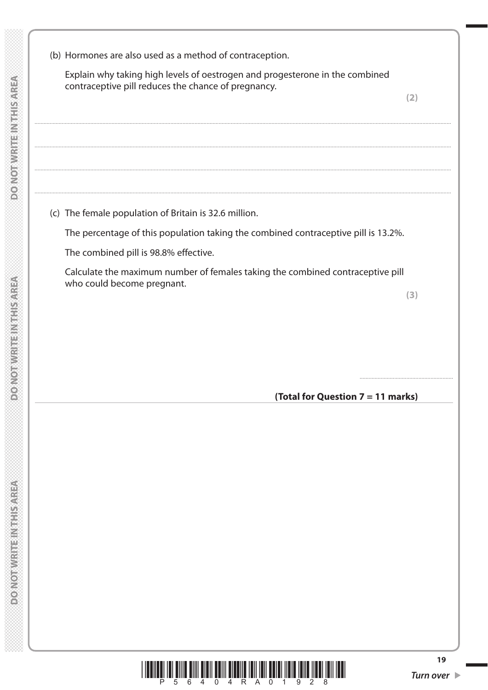(b) Hormones are also used as a method of contraception.

Explain why taking high levels of oestrogen and progesterone in the combined contraceptive pill reduces the chance of pregnancy.

 $(2)$ 

(c) The female population of Britain is 32.6 million.

The percentage of this population taking the combined contraceptive pill is 13.2%.

The combined pill is 98.8% effective.

Calculate the maximum number of females taking the combined contraceptive pill who could become pregnant.

 $(3)$ 

### (Total for Question 7 = 11 marks)

**DO NOT WRITE INTHIS AREA** 

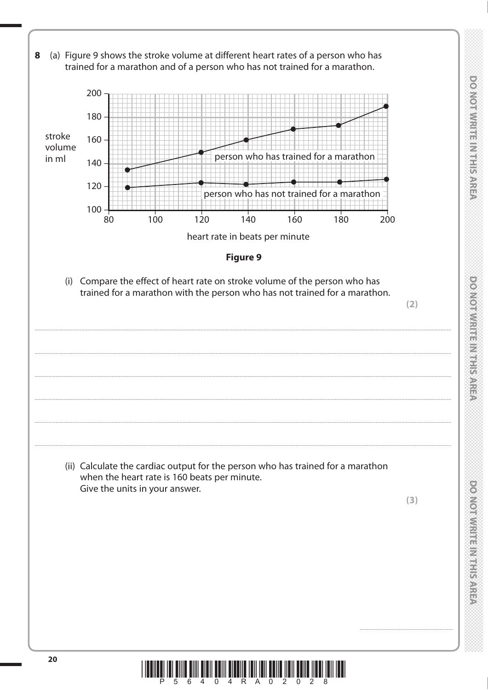

 $0$  4 R A

**PONONNE HARRY STREET**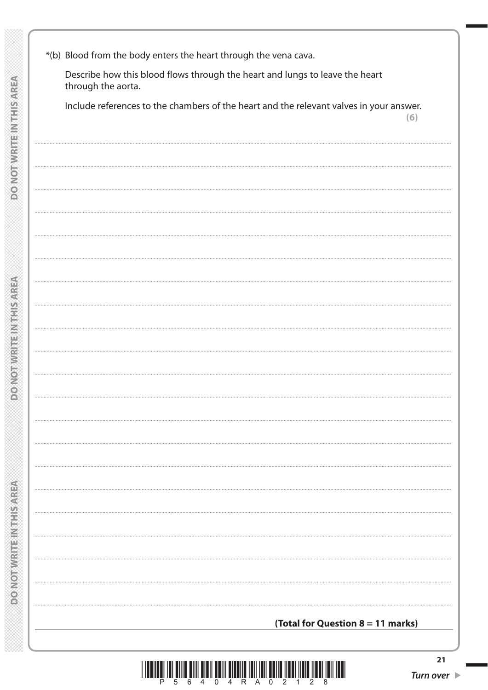Describe how this blood flows through the heart and lungs to leave the heart through the aorta.

Include references to the chambers of the heart and the relevant valves in your answer.

 $(6)$ 

| (Total for Question $8 = 11$ marks) |  |  |  |
|-------------------------------------|--|--|--|
|-------------------------------------|--|--|--|

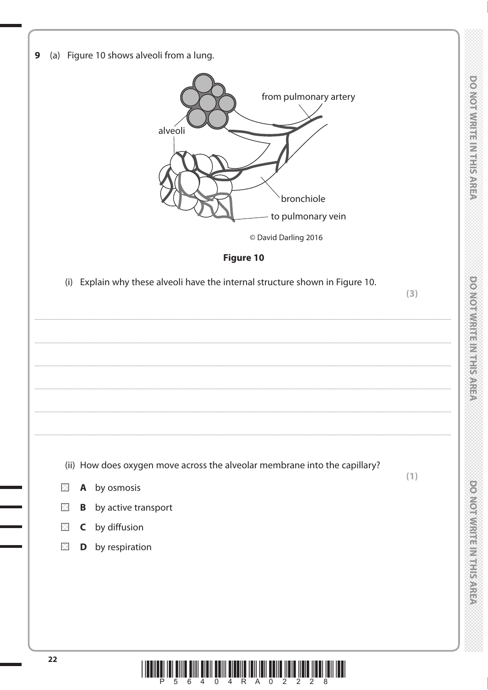

-5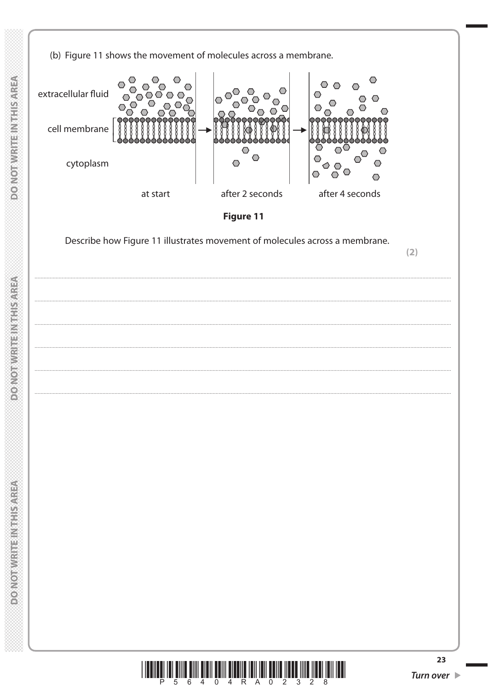

 $\frac{1}{5}$  and  $\frac{1}{6}$  and  $\frac{1}{4}$  and  $\frac{1}{6}$  and  $\frac{1}{4}$  and  $\frac{1}{8}$  and  $\frac{1}{8}$  and  $\frac{1}{2}$  and  $\frac{1}{2}$ 

- 8

P

**DOMOT WRITE IN THIS AREA** 

**MERIVAL HENRICH STATE**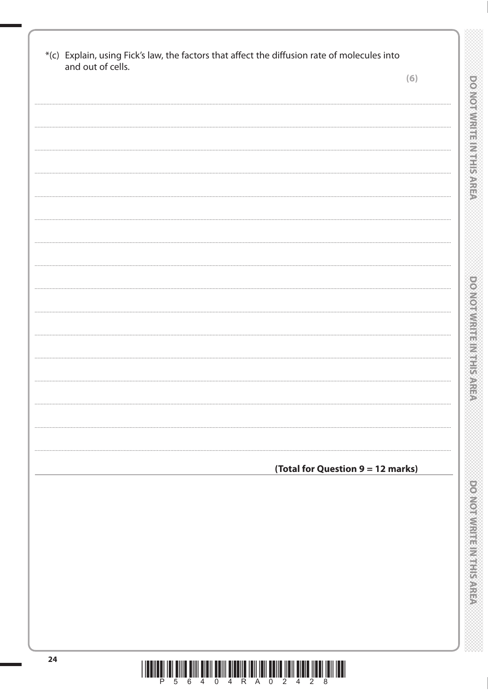| and out of cells. |  | (6)                               |
|-------------------|--|-----------------------------------|
|                   |  |                                   |
|                   |  |                                   |
|                   |  |                                   |
|                   |  |                                   |
|                   |  |                                   |
|                   |  |                                   |
|                   |  |                                   |
|                   |  |                                   |
|                   |  |                                   |
|                   |  |                                   |
|                   |  |                                   |
|                   |  |                                   |
|                   |  | .                                 |
|                   |  |                                   |
|                   |  |                                   |
|                   |  |                                   |
|                   |  |                                   |
|                   |  |                                   |
|                   |  |                                   |
|                   |  |                                   |
|                   |  |                                   |
|                   |  |                                   |
|                   |  |                                   |
|                   |  | (Total for Question 9 = 12 marks) |
|                   |  |                                   |
|                   |  |                                   |
|                   |  |                                   |
|                   |  |                                   |
|                   |  |                                   |
|                   |  |                                   |
|                   |  |                                   |
|                   |  |                                   |
|                   |  |                                   |
|                   |  |                                   |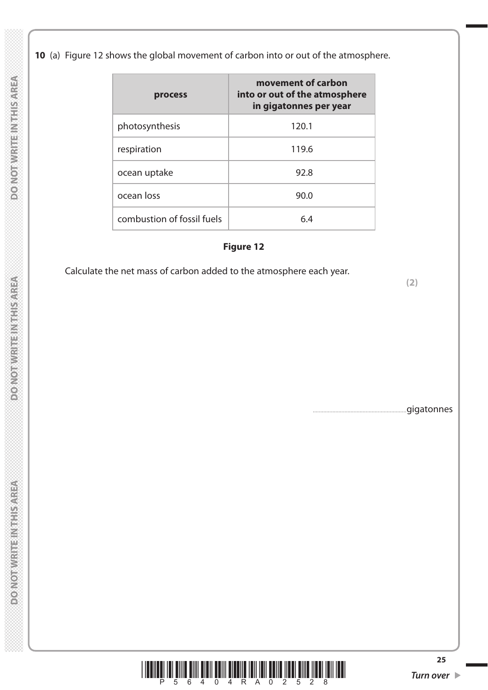# **10** (a) Figure 12 shows the global movement of carbon into or out of the atmosphere.

| process                    | movement of carbon<br>into or out of the atmosphere<br>in gigatonnes per year |
|----------------------------|-------------------------------------------------------------------------------|
| photosynthesis             | 120.1                                                                         |
| respiration                | 119.6                                                                         |
| ocean uptake               | 92.8                                                                          |
| ocean loss                 | 90.0                                                                          |
| combustion of fossil fuels | 6.4                                                                           |

### **Figure 12**

Calculate the net mass of carbon added to the atmosphere each year.

**(2)**

.gigatonnes

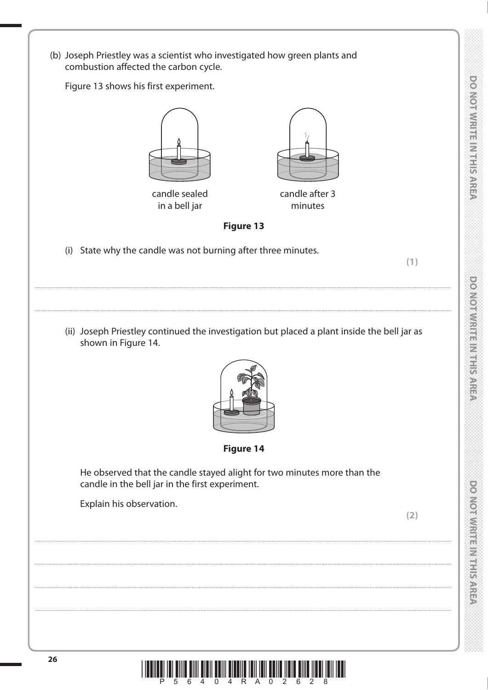(b) Joseph Priestley was a scientist who investigated how green plants and combustion affected the carbon cycle.

Figure 13 shows his first experiment.



**Figure 13** 

(i) State why the candle was not burning after three minutes.

 $(1)$ 

**DO NOTWRITE IN THIS AREA** 

**DOMORWICHER MEETING** 

(ii) Joseph Priestley continued the investigation but placed a plant inside the bell jar as shown in Figure 14.



**Figure 14** 

He observed that the candle stayed alight for two minutes more than the candle in the bell jar in the first experiment.

Explain his observation.



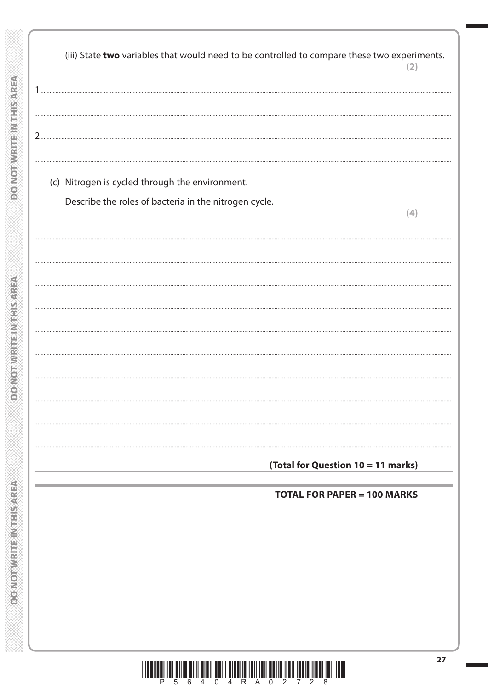| š      |
|--------|
|        |
|        |
|        |
|        |
|        |
| š<br>Č |
|        |
|        |
| l      |
|        |
|        |
|        |
|        |
| 2      |
|        |
|        |
|        |
| ł      |
| í      |
|        |
|        |
|        |
| j      |
| ï      |
| ï      |
|        |
|        |
|        |
|        |
|        |
|        |
|        |
|        |
|        |
|        |
| ć      |
|        |
|        |
|        |
|        |
| Ì      |
|        |
|        |
|        |
|        |
|        |
|        |
|        |
|        |
|        |
| ١      |
|        |
|        |
|        |
|        |
| ï      |
|        |
|        |
|        |
|        |
|        |
| Ž      |

| (iii) State two variables that would need to be controlled to compare these two experiments. | (2)                                |  |
|----------------------------------------------------------------------------------------------|------------------------------------|--|
|                                                                                              |                                    |  |
|                                                                                              |                                    |  |
|                                                                                              |                                    |  |
| (c) Nitrogen is cycled through the environment.                                              |                                    |  |
| Describe the roles of bacteria in the nitrogen cycle.                                        |                                    |  |
|                                                                                              | (4)                                |  |
|                                                                                              |                                    |  |
|                                                                                              |                                    |  |
|                                                                                              |                                    |  |
|                                                                                              |                                    |  |
|                                                                                              |                                    |  |
|                                                                                              |                                    |  |
|                                                                                              |                                    |  |
|                                                                                              |                                    |  |
| (Total for Question 10 = 11 marks)                                                           |                                    |  |
|                                                                                              | <b>TOTAL FOR PAPER = 100 MARKS</b> |  |
|                                                                                              |                                    |  |
|                                                                                              |                                    |  |
|                                                                                              |                                    |  |
|                                                                                              |                                    |  |
|                                                                                              |                                    |  |
|                                                                                              |                                    |  |
|                                                                                              | 27                                 |  |